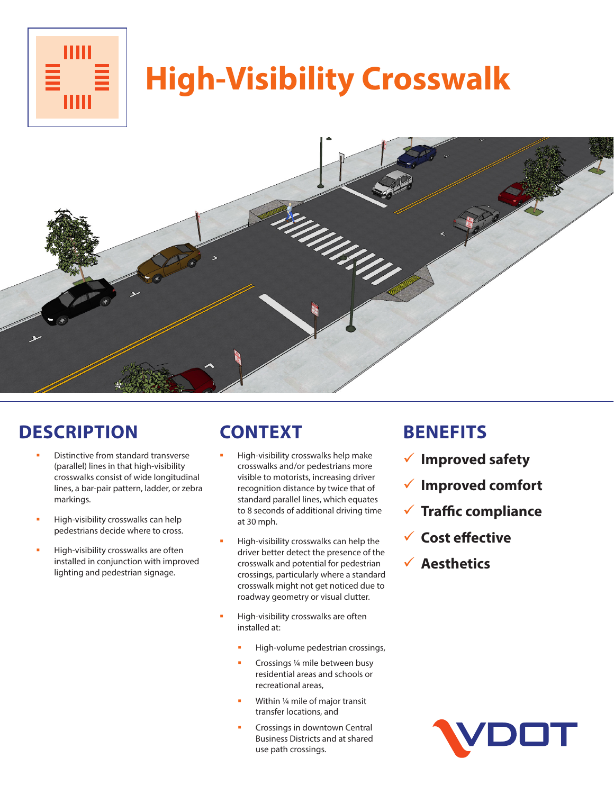

# **High-Visibility Crosswalk**



### **DESCRIPTION**

- Distinctive from standard transverse (parallel) lines in that high-visibility crosswalks consist of wide longitudinal lines, a bar-pair pattern, ladder, or zebra markings.
- High-visibility crosswalks can help pedestrians decide where to cross.
- High-visibility crosswalks are often installed in conjunction with improved lighting and pedestrian signage.

## **CONTEXT**

- High-visibility crosswalks help make crosswalks and/or pedestrians more visible to motorists, increasing driver recognition distance by twice that of standard parallel lines, which equates to 8 seconds of additional driving time at 30 mph.
- High-visibility crosswalks can help the driver better detect the presence of the crosswalk and potential for pedestrian crossings, particularly where a standard crosswalk might not get noticed due to roadway geometry or visual clutter.
- High-visibility crosswalks are often installed at:
	- High-volume pedestrian crossings,
	- Crossings ¼ mile between busy residential areas and schools or recreational areas,
	- Within ¼ mile of major transit transfer locations, and
	- Crossings in downtown Central Business Districts and at shared use path crossings.

#### **BENEFITS**

- 9 **Improved safety**
- 9 **Improved comfort**
- 9 **Traffic compliance**
- 9 **Cost effective**
- 9 **Aesthetics**